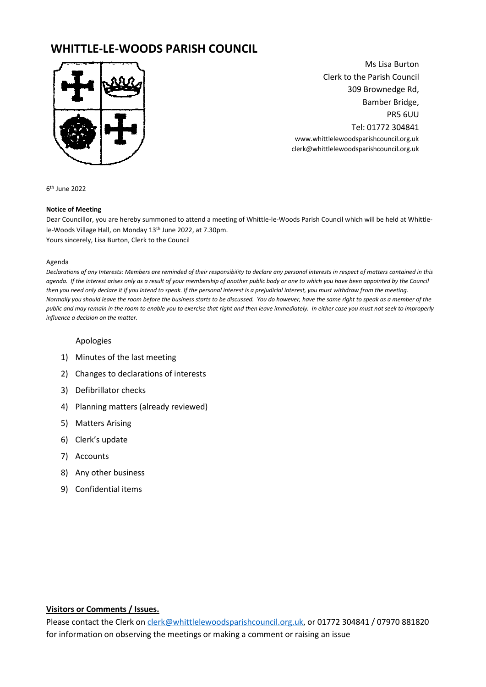# **WHITTLE-LE-WOODS PARISH COUNCIL**



Ms Lisa Burton Clerk to the Parish Council 309 Brownedge Rd, Bamber Bridge, PR5 6UU Tel: 01772 304841 www.whittlelewoodsparishcouncil.org.uk clerk@whittlelewoodsparishcouncil.org.uk

6 th June 2022

#### **Notice of Meeting**

Dear Councillor, you are hereby summoned to attend a meeting of Whittle-le-Woods Parish Council which will be held at Whittlele-Woods Village Hall, on Monday 13<sup>th</sup> June 2022, at 7.30pm. Yours sincerely, Lisa Burton, Clerk to the Council

#### Agenda

*Declarations of any Interests: Members are reminded of their responsibility to declare any personal interests in respect of matters contained in this agenda. If the interest arises only as a result of your membership of another public body or one to which you have been appointed by the Council then you need only declare it if you intend to speak. If the personal interest is a prejudicial interest, you must withdraw from the meeting. Normally you should leave the room before the business starts to be discussed. You do however, have the same right to speak as a member of the public and may remain in the room to enable you to exercise that right and then leave immediately. In either case you must not seek to improperly influence a decision on the matter.* 

#### Apologies

- 1) Minutes of the last meeting
- 2) Changes to declarations of interests
- 3) Defibrillator checks
- 4) Planning matters (already reviewed)
- 5) Matters Arising
- 6) Clerk's update
- 7) Accounts
- 8) Any other business
- 9) Confidential items

### **Visitors or Comments / Issues.**

Please contact the Clerk o[n clerk@whittlelewoodsparishcouncil.org.uk,](mailto:clerk@whittlelewoodsparishcouncil.org.uk) or 01772 304841 / 07970 881820 for information on observing the meetings or making a comment or raising an issue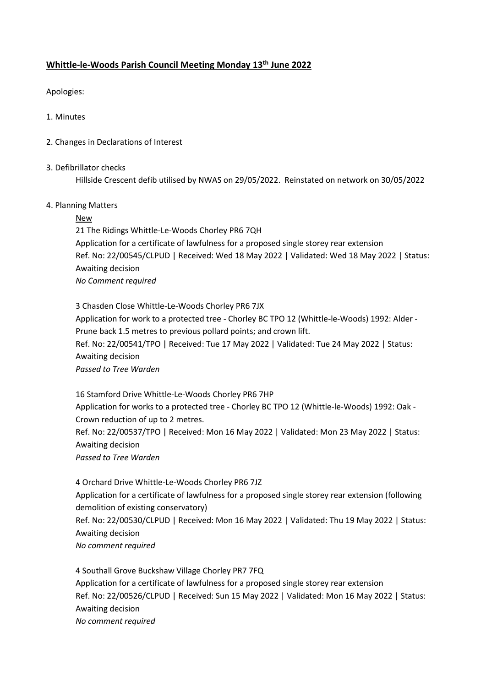### **Whittle-le-Woods Parish Council Meeting Monday 13th June 2022**

Apologies:

- 1. Minutes
- 2. Changes in Declarations of Interest
- 3. Defibrillator checks

Hillside Crescent defib utilised by NWAS on 29/05/2022. Reinstated on network on 30/05/2022

### 4. Planning Matters

### **New**

21 The Ridings Whittle-Le-Woods Chorley PR6 7QH Application for a certificate of lawfulness for a proposed single storey rear extension Ref. No: 22/00545/CLPUD | Received: Wed 18 May 2022 | Validated: Wed 18 May 2022 | Status: Awaiting decision *No Comment required*

3 Chasden Close Whittle-Le-Woods Chorley PR6 7JX Application for work to a protected tree - Chorley BC TPO 12 (Whittle-le-Woods) 1992: Alder - Prune back 1.5 metres to previous pollard points; and crown lift. Ref. No: 22/00541/TPO | Received: Tue 17 May 2022 | Validated: Tue 24 May 2022 | Status: Awaiting decision *Passed to Tree Warden*

16 Stamford Drive Whittle-Le-Woods Chorley PR6 7HP Application for works to a protected tree - Chorley BC TPO 12 (Whittle-le-Woods) 1992: Oak - Crown reduction of up to 2 metres. Ref. No: 22/00537/TPO | Received: Mon 16 May 2022 | Validated: Mon 23 May 2022 | Status: Awaiting decision *Passed to Tree Warden*

4 Orchard Drive Whittle-Le-Woods Chorley PR6 7JZ Application for a certificate of lawfulness for a proposed single storey rear extension (following demolition of existing conservatory) Ref. No: 22/00530/CLPUD | Received: Mon 16 May 2022 | Validated: Thu 19 May 2022 | Status: Awaiting decision *No comment required*

4 Southall Grove Buckshaw Village Chorley PR7 7FQ Application for a certificate of lawfulness for a proposed single storey rear extension Ref. No: 22/00526/CLPUD | Received: Sun 15 May 2022 | Validated: Mon 16 May 2022 | Status: Awaiting decision *No comment required*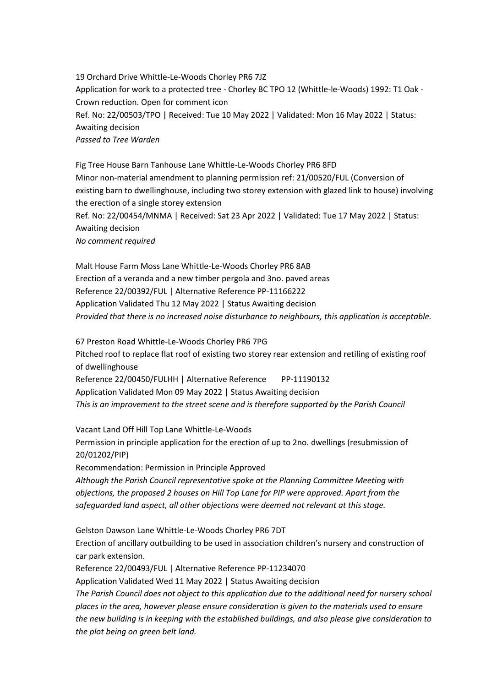19 Orchard Drive Whittle-Le-Woods Chorley PR6 7JZ Application for work to a protected tree - Chorley BC TPO 12 (Whittle-le-Woods) 1992: T1 Oak - Crown reduction. Open for comment icon Ref. No: 22/00503/TPO | Received: Tue 10 May 2022 | Validated: Mon 16 May 2022 | Status: Awaiting decision *Passed to Tree Warden*

Fig Tree House Barn Tanhouse Lane Whittle-Le-Woods Chorley PR6 8FD Minor non-material amendment to planning permission ref: 21/00520/FUL (Conversion of existing barn to dwellinghouse, including two storey extension with glazed link to house) involving the erection of a single storey extension Ref. No: 22/00454/MNMA | Received: Sat 23 Apr 2022 | Validated: Tue 17 May 2022 | Status: Awaiting decision *No comment required*

Malt House Farm Moss Lane Whittle-Le-Woods Chorley PR6 8AB Erection of a veranda and a new timber pergola and 3no. paved areas Reference 22/00392/FUL | Alternative Reference PP-11166222 Application Validated Thu 12 May 2022 | Status Awaiting decision *Provided that there is no increased noise disturbance to neighbours, this application is acceptable.*

67 Preston Road Whittle-Le-Woods Chorley PR6 7PG Pitched roof to replace flat roof of existing two storey rear extension and retiling of existing roof of dwellinghouse

Reference 22/00450/FULHH | Alternative Reference PP-11190132 Application Validated Mon 09 May 2022 | Status Awaiting decision *This is an improvement to the street scene and is therefore supported by the Parish Council*

Vacant Land Off Hill Top Lane Whittle-Le-Woods Permission in principle application for the erection of up to 2no. dwellings (resubmission of

20/01202/PIP)

Recommendation: Permission in Principle Approved

*Although the Parish Council representative spoke at the Planning Committee Meeting with objections, the proposed 2 houses on Hill Top Lane for PIP were approved. Apart from the safeguarded land aspect, all other objections were deemed not relevant at this stage.* 

Gelston Dawson Lane Whittle-Le-Woods Chorley PR6 7DT

Erection of ancillary outbuilding to be used in association children's nursery and construction of car park extension.

Reference 22/00493/FUL | Alternative Reference PP-11234070

Application Validated Wed 11 May 2022 | Status Awaiting decision

*The Parish Council does not object to this application due to the additional need for nursery school places in the area, however please ensure consideration is given to the materials used to ensure the new building is in keeping with the established buildings, and also please give consideration to the plot being on green belt land.*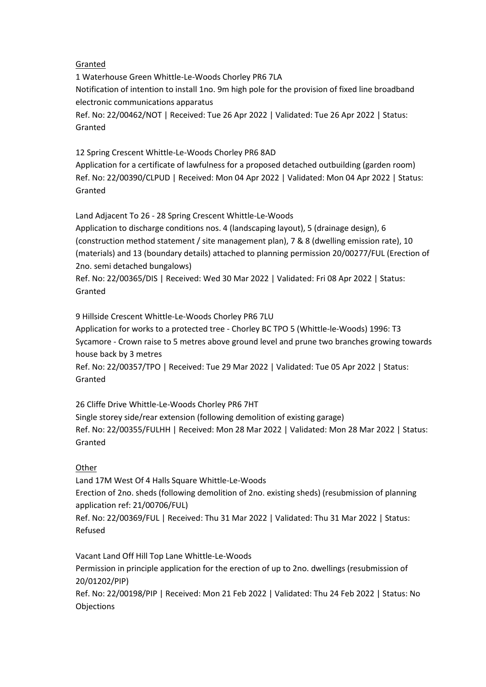### Granted

1 Waterhouse Green Whittle-Le-Woods Chorley PR6 7LA Notification of intention to install 1no. 9m high pole for the provision of fixed line broadband electronic communications apparatus Ref. No: 22/00462/NOT | Received: Tue 26 Apr 2022 | Validated: Tue 26 Apr 2022 | Status: Granted

## 12 Spring Crescent Whittle-Le-Woods Chorley PR6 8AD

Application for a certificate of lawfulness for a proposed detached outbuilding (garden room) Ref. No: 22/00390/CLPUD | Received: Mon 04 Apr 2022 | Validated: Mon 04 Apr 2022 | Status: Granted

Land Adjacent To 26 - 28 Spring Crescent Whittle-Le-Woods

Application to discharge conditions nos. 4 (landscaping layout), 5 (drainage design), 6 (construction method statement / site management plan), 7 & 8 (dwelling emission rate), 10 (materials) and 13 (boundary details) attached to planning permission 20/00277/FUL (Erection of 2no. semi detached bungalows)

Ref. No: 22/00365/DIS | Received: Wed 30 Mar 2022 | Validated: Fri 08 Apr 2022 | Status: Granted

9 Hillside Crescent Whittle-Le-Woods Chorley PR6 7LU

Application for works to a protected tree - Chorley BC TPO 5 (Whittle-le-Woods) 1996: T3 Sycamore - Crown raise to 5 metres above ground level and prune two branches growing towards house back by 3 metres

Ref. No: 22/00357/TPO | Received: Tue 29 Mar 2022 | Validated: Tue 05 Apr 2022 | Status: Granted

26 Cliffe Drive Whittle-Le-Woods Chorley PR6 7HT Single storey side/rear extension (following demolition of existing garage) Ref. No: 22/00355/FULHH | Received: Mon 28 Mar 2022 | Validated: Mon 28 Mar 2022 | Status: Granted

# **Other**

Land 17M West Of 4 Halls Square Whittle-Le-Woods Erection of 2no. sheds (following demolition of 2no. existing sheds) (resubmission of planning application ref: 21/00706/FUL)

Ref. No: 22/00369/FUL | Received: Thu 31 Mar 2022 | Validated: Thu 31 Mar 2022 | Status: Refused

Vacant Land Off Hill Top Lane Whittle-Le-Woods Permission in principle application for the erection of up to 2no. dwellings (resubmission of 20/01202/PIP) Ref. No: 22/00198/PIP | Received: Mon 21 Feb 2022 | Validated: Thu 24 Feb 2022 | Status: No **Objections**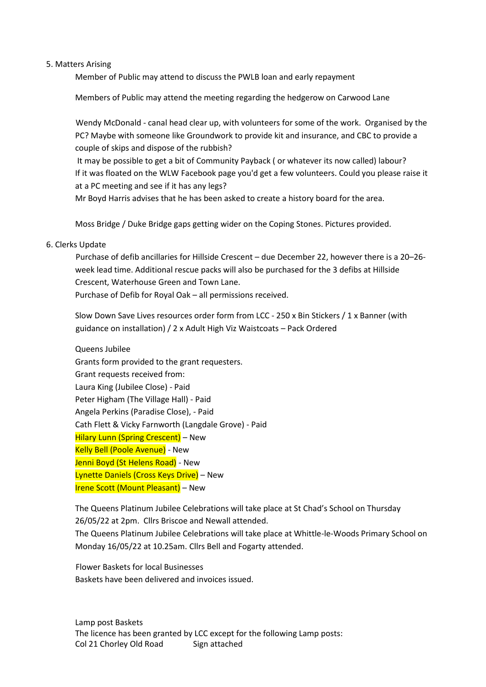#### 5. Matters Arising

Member of Public may attend to discuss the PWLB loan and early repayment

Members of Public may attend the meeting regarding the hedgerow on Carwood Lane

Wendy McDonald - canal head clear up, with volunteers for some of the work. Organised by the PC? Maybe with someone like Groundwork to provide kit and insurance, and CBC to provide a couple of skips and dispose of the rubbish?

It may be possible to get a bit of Community Payback ( or whatever its now called) labour? If it was floated on the WLW Facebook page you'd get a few volunteers. Could you please raise it at a PC meeting and see if it has any legs?

Mr Boyd Harris advises that he has been asked to create a history board for the area.

Moss Bridge / Duke Bridge gaps getting wider on the Coping Stones. Pictures provided.

### 6. Clerks Update

Purchase of defib ancillaries for Hillside Crescent – due December 22, however there is a 20–26 week lead time. Additional rescue packs will also be purchased for the 3 defibs at Hillside Crescent, Waterhouse Green and Town Lane. Purchase of Defib for Royal Oak – all permissions received.

Slow Down Save Lives resources order form from LCC - 250 x Bin Stickers / 1 x Banner (with guidance on installation) / 2 x Adult High Viz Waistcoats – Pack Ordered

Queens Jubilee Grants form provided to the grant requesters. Grant requests received from: Laura King (Jubilee Close) - Paid Peter Higham (The Village Hall) - Paid Angela Perkins (Paradise Close), - Paid Cath Flett & Vicky Farnworth (Langdale Grove) - Paid Hilary Lunn (Spring Crescent) – New Kelly Bell (Poole Avenue) - New Jenni Boyd (St Helens Road) - New Lynette Daniels (Cross Keys Drive) – New Irene Scott (Mount Pleasant) – New

The Queens Platinum Jubilee Celebrations will take place at St Chad's School on Thursday 26/05/22 at 2pm. Cllrs Briscoe and Newall attended. The Queens Platinum Jubilee Celebrations will take place at Whittle-le-Woods Primary School on Monday 16/05/22 at 10.25am. Cllrs Bell and Fogarty attended.

Flower Baskets for local Businesses Baskets have been delivered and invoices issued.

Lamp post Baskets The licence has been granted by LCC except for the following Lamp posts: Col 21 Chorley Old Road Sign attached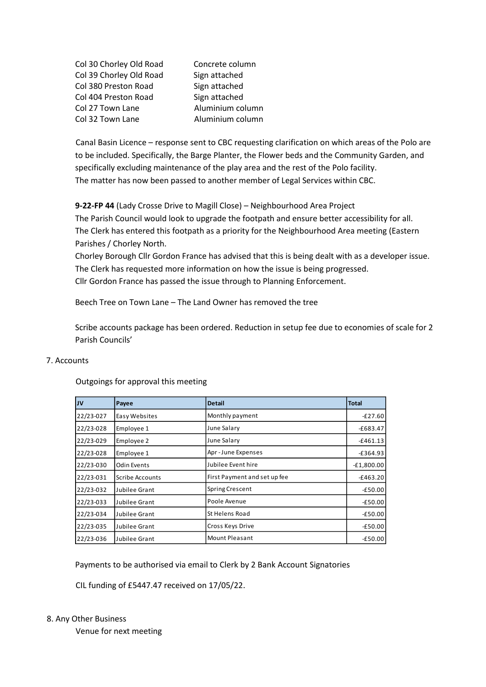Col 30 Chorley Old Road Concrete column Col 39 Chorley Old Road Sign attached Col 380 Preston Road Sign attached Col 404 Preston Road Sign attached Col 27 Town Lane Aluminium column Col 32 Town Lane Aluminium column

Canal Basin Licence – response sent to CBC requesting clarification on which areas of the Polo are to be included. Specifically, the Barge Planter, the Flower beds and the Community Garden, and specifically excluding maintenance of the play area and the rest of the Polo facility. The matter has now been passed to another member of Legal Services within CBC.

**9-22-FP 44** (Lady Crosse Drive to Magill Close) – Neighbourhood Area Project

The Parish Council would look to upgrade the footpath and ensure better accessibility for all. The Clerk has entered this footpath as a priority for the Neighbourhood Area meeting (Eastern Parishes / Chorley North.

Chorley Borough Cllr Gordon France has advised that this is being dealt with as a developer issue. The Clerk has requested more information on how the issue is being progressed. Cllr Gordon France has passed the issue through to Planning Enforcement.

Beech Tree on Town Lane – The Land Owner has removed the tree

Scribe accounts package has been ordered. Reduction in setup fee due to economies of scale for 2 Parish Councils'

### 7. Accounts

| $\overline{\mathbf{v}}$                                                                                                     | Payee                  | <b>Detail</b>                | <b>Total</b> |  |  |  |  |  |  |  |
|-----------------------------------------------------------------------------------------------------------------------------|------------------------|------------------------------|--------------|--|--|--|--|--|--|--|
| 22/23-027                                                                                                                   | Easy Websites          | Monthly payment              | $-E27.60$    |  |  |  |  |  |  |  |
| 22/23-028                                                                                                                   | Employee 1             | June Salary                  | $-£683.47$   |  |  |  |  |  |  |  |
| 22/23-029                                                                                                                   | Employee 2             | June Salary                  | $-£461.13$   |  |  |  |  |  |  |  |
| 22/23-028                                                                                                                   | Employee 1             | Apr-June Expenses            | $-£364.93$   |  |  |  |  |  |  |  |
| 22/23-030                                                                                                                   | <b>Odin Events</b>     | Jubilee Event hire           | $-E1,800.00$ |  |  |  |  |  |  |  |
| 22/23-031                                                                                                                   | <b>Scribe Accounts</b> | First Payment and set up fee | $-£463.20$   |  |  |  |  |  |  |  |
| 22/23-032                                                                                                                   | Jubilee Grant          | <b>Spring Crescent</b>       | $-£50.00$    |  |  |  |  |  |  |  |
| 22/23-033                                                                                                                   | Jubilee Grant          | Poole Avenue                 | $-£50.00$    |  |  |  |  |  |  |  |
| 22/23-034                                                                                                                   | Jubilee Grant          | St Helens Road               | $-£50.00$    |  |  |  |  |  |  |  |
| 22/23-035                                                                                                                   | Jubilee Grant          | Cross Keys Drive             | $-£50.00$    |  |  |  |  |  |  |  |
| 22/23-036                                                                                                                   | Jubilee Grant          | <b>Mount Pleasant</b>        | $-E50.00$    |  |  |  |  |  |  |  |
| Payments to be authorised via email to Clerk by 2 Bank Account Signatories<br>CIL funding of £5447.47 received on 17/05/22. |                        |                              |              |  |  |  |  |  |  |  |
| Other Business<br>Venue for next meeting                                                                                    |                        |                              |              |  |  |  |  |  |  |  |

Outgoings for approval this meeting

#### 8. Any Other Business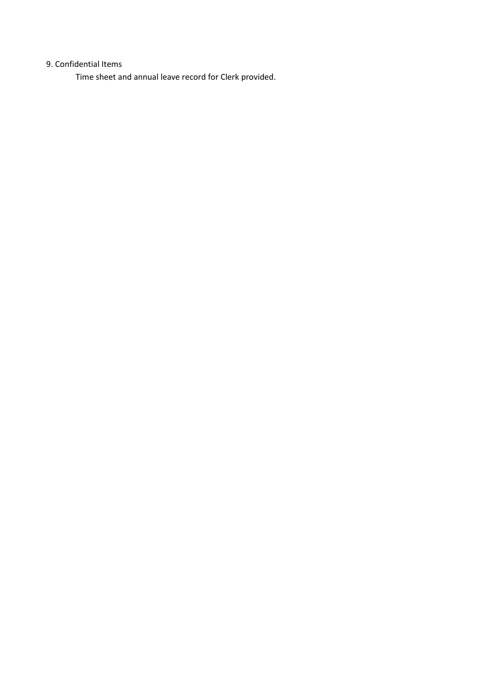# 9. Confidential Items

Time sheet and annual leave record for Clerk provided.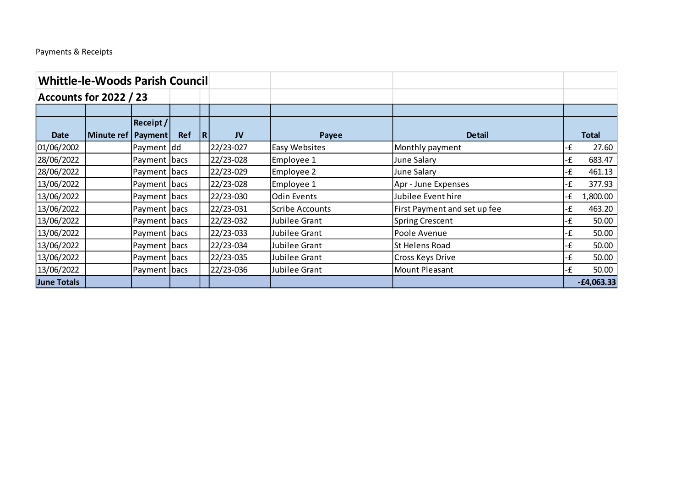# Payments & Receipts

| <b>Whittle-le-Woods Parish Council</b> |            |                  |            |   |           |                      |                              |    |              |
|----------------------------------------|------------|------------------|------------|---|-----------|----------------------|------------------------------|----|--------------|
| <b>Accounts for 2022 / 23</b>          |            |                  |            |   |           |                      |                              |    |              |
|                                        |            |                  |            |   |           |                      |                              |    |              |
|                                        |            | <b>Receipt /</b> |            |   |           |                      |                              |    |              |
| <b>Date</b>                            | Minute ref | Payment          | <b>Ref</b> | R | <b>JV</b> | Payee                | <b>Detail</b>                |    | <b>Total</b> |
| 01/06/2002                             |            | Payment dd       |            |   | 22/23-027 | <b>Easy Websites</b> | Monthly payment              | -£ | 27.60        |
| 28/06/2022                             |            | Payment   bacs   |            |   | 22/23-028 | Employee 1           | <b>June Salary</b>           | ٠£ | 683.47       |
| 28/06/2022                             |            | Payment   bacs   |            |   | 22/23-029 | Employee 2           | June Salary                  | ٠£ | 461.13       |
| 13/06/2022                             |            | Payment bacs     |            |   | 22/23-028 | Employee 1           | Apr - June Expenses          | ٠£ | 377.93       |
| 13/06/2022                             |            | Payment bacs     |            |   | 22/23-030 | Odin Events          | Jubilee Event hire           | ٠£ | 1,800.00     |
| 13/06/2022                             |            | Payment   bacs   |            |   | 22/23-031 | Scribe Accounts      | First Payment and set up fee | ٠£ | 463.20       |
| 13/06/2022                             |            | Payment   bacs   |            |   | 22/23-032 | Jubilee Grant        | <b>Spring Crescent</b>       | -£ | 50.00        |
| 13/06/2022                             |            | Payment   bacs   |            |   | 22/23-033 | Jubilee Grant        | Poole Avenue                 | ٠£ | 50.00        |
| 13/06/2022                             |            | Payment   bacs   |            |   | 22/23-034 | Jubilee Grant        | <b>St Helens Road</b>        | -£ | 50.00        |
| 13/06/2022                             |            | Payment  bacs    |            |   | 22/23-035 | Jubilee Grant        | Cross Keys Drive             | -£ | 50.00        |
| 13/06/2022                             |            | Payment  bacs    |            |   | 22/23-036 | Jubilee Grant        | Mount Pleasant               | -£ | 50.00        |
| June Totals                            |            |                  |            |   |           |                      |                              |    | $-£4,063.33$ |